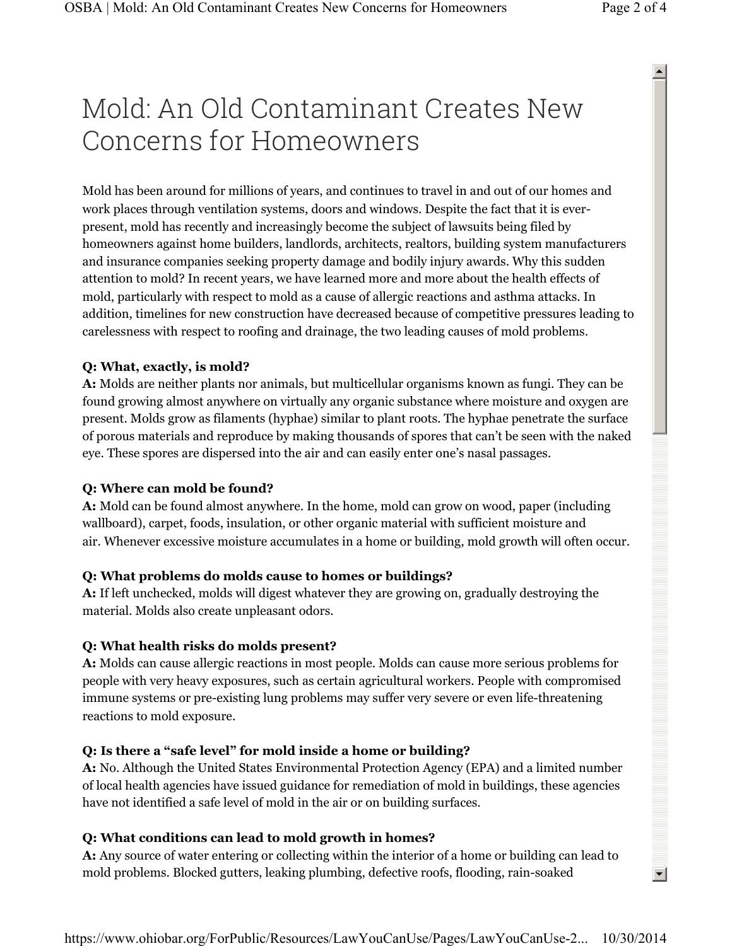# Mold: An Old Contaminant Creates New Concerns for Homeowners

 $\blacktriangle$ 

 $\left| \cdot \right|$ 

Mold has been around for millions of years, and continues to travel in and out of our homes and work places through ventilation systems, doors and windows. Despite the fact that it is everpresent, mold has recently and increasingly become the subject of lawsuits being filed by homeowners against home builders, landlords, architects, realtors, building system manufacturers and insurance companies seeking property damage and bodily injury awards. Why this sudden attention to mold? In recent years, we have learned more and more about the health effects of mold, particularly with respect to mold as a cause of allergic reactions and asthma attacks. In addition, timelines for new construction have decreased because of competitive pressures leading to carelessness with respect to roofing and drainage, the two leading causes of mold problems.

#### **Q: What, exactly, is mold?**

**A:** Molds are neither plants nor animals, but multicellular organisms known as fungi. They can be found growing almost anywhere on virtually any organic substance where moisture and oxygen are present. Molds grow as filaments (hyphae) similar to plant roots. The hyphae penetrate the surface of porous materials and reproduce by making thousands of spores that can't be seen with the naked eye. These spores are dispersed into the air and can easily enter one's nasal passages.

#### **Q: Where can mold be found?**

**A:** Mold can be found almost anywhere. In the home, mold can grow on wood, paper (including wallboard), carpet, foods, insulation, or other organic material with sufficient moisture and air. Whenever excessive moisture accumulates in a home or building, mold growth will often occur.

## **Q: What problems do molds cause to homes or buildings?**

**A:** If left unchecked, molds will digest whatever they are growing on, gradually destroying the material. Molds also create unpleasant odors.

## **Q: What health risks do molds present?**

**A:** Molds can cause allergic reactions in most people. Molds can cause more serious problems for people with very heavy exposures, such as certain agricultural workers. People with compromised immune systems or pre-existing lung problems may suffer very severe or even life-threatening reactions to mold exposure.

#### **Q: Is there a "safe level" for mold inside a home or building?**

**A:** No. Although the United States Environmental Protection Agency (EPA) and a limited number of local health agencies have issued guidance for remediation of mold in buildings, these agencies have not identified a safe level of mold in the air or on building surfaces.

## **Q: What conditions can lead to mold growth in homes?**

**A:** Any source of water entering or collecting within the interior of a home or building can lead to mold problems. Blocked gutters, leaking plumbing, defective roofs, flooding, rain-soaked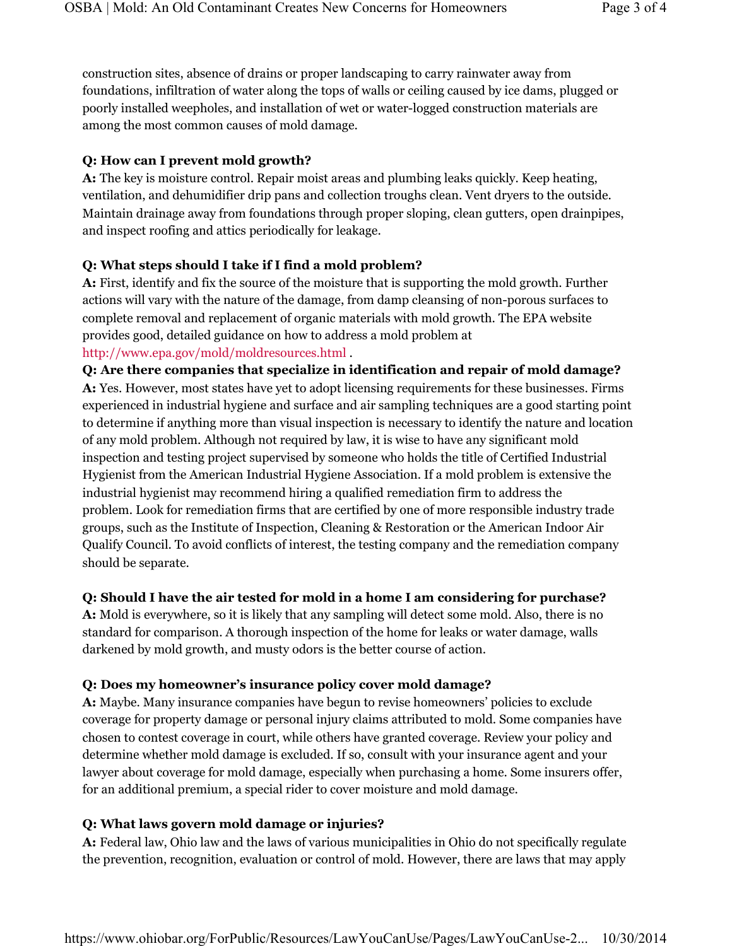construction sites, absence of drains or proper landscaping to carry rainwater away from foundations, infiltration of water along the tops of walls or ceiling caused by ice dams, plugged or poorly installed weepholes, and installation of wet or water-logged construction materials are among the most common causes of mold damage.

## **Q: How can I prevent mold growth?**

**A:** The key is moisture control. Repair moist areas and plumbing leaks quickly. Keep heating, ventilation, and dehumidifier drip pans and collection troughs clean. Vent dryers to the outside. Maintain drainage away from foundations through proper sloping, clean gutters, open drainpipes, and inspect roofing and attics periodically for leakage.

## **Q: What steps should I take if I find a mold problem?**

**A:** First, identify and fix the source of the moisture that is supporting the mold growth. Further actions will vary with the nature of the damage, from damp cleansing of non-porous surfaces to complete removal and replacement of organic materials with mold growth. The EPA website provides good, detailed guidance on how to address a mold problem at http://www.epa.gov/mold/moldresources.html .

**Q: Are there companies that specialize in identification and repair of mold damage? A:** Yes. However, most states have yet to adopt licensing requirements for these businesses. Firms experienced in industrial hygiene and surface and air sampling techniques are a good starting point to determine if anything more than visual inspection is necessary to identify the nature and location of any mold problem. Although not required by law, it is wise to have any significant mold inspection and testing project supervised by someone who holds the title of Certified Industrial Hygienist from the American Industrial Hygiene Association. If a mold problem is extensive the industrial hygienist may recommend hiring a qualified remediation firm to address the problem. Look for remediation firms that are certified by one of more responsible industry trade groups, such as the Institute of Inspection, Cleaning & Restoration or the American Indoor Air Qualify Council. To avoid conflicts of interest, the testing company and the remediation company should be separate.

# **Q: Should I have the air tested for mold in a home I am considering for purchase?**

**A:** Mold is everywhere, so it is likely that any sampling will detect some mold. Also, there is no standard for comparison. A thorough inspection of the home for leaks or water damage, walls darkened by mold growth, and musty odors is the better course of action.

# **Q: Does my homeowner's insurance policy cover mold damage?**

**A:** Maybe. Many insurance companies have begun to revise homeowners' policies to exclude coverage for property damage or personal injury claims attributed to mold. Some companies have chosen to contest coverage in court, while others have granted coverage. Review your policy and determine whether mold damage is excluded. If so, consult with your insurance agent and your lawyer about coverage for mold damage, especially when purchasing a home. Some insurers offer, for an additional premium, a special rider to cover moisture and mold damage.

# **Q: What laws govern mold damage or injuries?**

**A:** Federal law, Ohio law and the laws of various municipalities in Ohio do not specifically regulate the prevention, recognition, evaluation or control of mold. However, there are laws that may apply